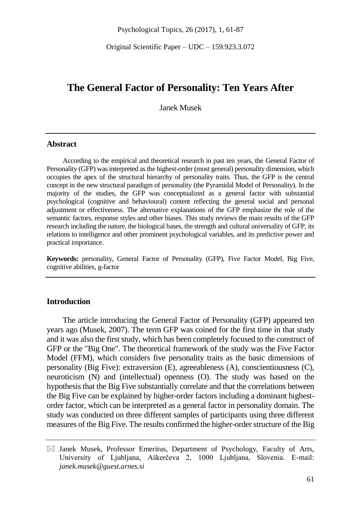Psychological Topics, 26 (2017), 1, 61-87

Original Scientific Paper – UDC – 159.923.3.072

# **The General Factor of Personality: Ten Years After**

Janek Musek

### **Abstract**

According to the empirical and theoretical research in past ten years, the General Factor of Personality (GFP) was interpreted as the highest-order (most general) personality dimension, which occupies the apex of the structural hierarchy of personality traits. Thus, the GFP is the central concept in the new structural paradigm of personality (the Pyramidal Model of Personality). In the majority of the studies, the GFP was conceptualized as a general factor with substantial psychological (cognitive and behavioural) content reflecting the general social and personal adjustment or effectiveness. The alternative explanations of the GFP emphasize the role of the semantic factors, response styles and other biases. This study reviews the main results of the GFP research including the nature, the biological bases, the strength and cultural universality of GFP, its relations to intelligence and other prominent psychological variables, and its predictive power and practical importance.

**Keywords:** personality, General Factor of Personality (GFP), Five Factor Model, Big Five, cognitive abilities, g-factor

### **Introduction**

The article introducing the General Factor of Personality (GFP) appeared ten years ago (Musek, 2007). The term GFP was coined for the first time in that study and it was also the first study, which has been completely focused to the construct of GFP or the "Big One". The theoretical framework of the study was the Five Factor Model (FFM), which considers five personality traits as the basic dimensions of personality (Big Five): extraversion (E), agreeableness (A), conscientiousness (C), neuroticism (N) and (intellectual) openness (O). The study was based on the hypothesis that the Big Five substantially correlate and that the correlations between the Big Five can be explained by higher-order factors including a dominant highestorder factor, which can be interpreted as a general factor in personality domain. The study was conducted on three different samples of participants using three different measures of the Big Five. The results confirmed the higher-order structure of the Big

 $\boxtimes$  Janek Musek, Professor Emeritus, Department of Psychology, Faculty of Arts, University of Ljubljana, Aškerčeva 2, 1000 Ljubljana, Slovenia. E-mail: *[janek.musek@guest.arnes.si](mailto:janek.musek@guest.arnes.si)*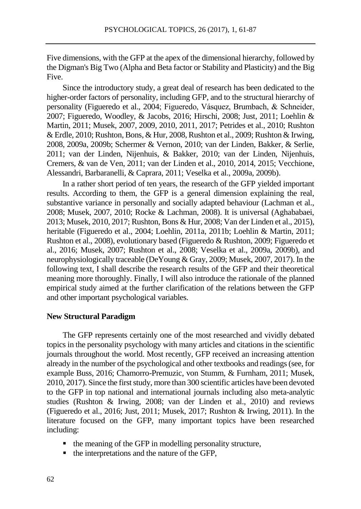Five dimensions, with the GFP at the apex of the dimensional hierarchy, followed by the Digman's Big Two (Alpha and Beta factor or Stability and Plasticity) and the Big Five.

Since the introductory study, a great deal of research has been dedicated to the higher-order factors of personality, including GFP, and to the structural hierarchy of personality (Figueredo et al., 2004; Figueredo, Vásquez, Brumbach, & Schneider, 2007; Figueredo, Woodley, & Jacobs, 2016; Hirschi, 2008; Just, 2011; Loehlin & Martin, 2011; Musek, 2007, 2009, 2010, 2011, 2017; Petrides et al., 2010; Rushton & Erdle, 2010; Rushton, Bons, & Hur, 2008, Rushton et al., 2009; Rushton & Irwing, 2008, 2009a, 2009b; Schermer & Vernon, 2010; van der Linden, Bakker, & Serlie, 2011; van der Linden, Nijenhuis, & Bakker, 2010; van der Linden, Nijenhuis, Cremers, & van de Ven, 2011; van der Linden et al., 2010, 2014, 2015; Vecchione, Alessandri, Barbaranelli, & Caprara, 2011; Veselka et al., 2009a, 2009b).

In a rather short period of ten years, the research of the GFP yielded important results. According to them, the GFP is a general dimension explaining the real, substantive variance in personally and socially adapted behaviour (Lachman et al., 2008; Musek, 2007, 2010; Rocke & Lachman, 2008). It is universal (Aghababaei, 2013; Musek, 2010, 2017; Rushton, Bons & Hur, 2008; Van der Linden et al., 2015), heritable (Figueredo et al., 2004; Loehlin, 2011a, 2011b; Loehlin & Martin, 2011; Rushton et al., 2008), evolutionary based (Figueredo & Rushton, 2009; Figueredo et al., 2016; Musek, 2007; Rushton et al., 2008; Veselka et al., 2009a, 2009b), and neurophysiologically traceable (DeYoung & Gray, 2009; Musek, 2007, 2017). In the following text, I shall describe the research results of the GFP and their theoretical meaning more thoroughly. Finally, I will also introduce the rationale of the planned empirical study aimed at the further clarification of the relations between the GFP and other important psychological variables.

### **New Structural Paradigm**

The GFP represents certainly one of the most researched and vividly debated topics in the personality psychology with many articles and citations in the scientific journals throughout the world. Most recently, GFP received an increasing attention already in the number of the psychological and other textbooks and readings (see, for example Buss, 2016; Chamorro-Premuzic, von Stumm, & Furnham, 2011; Musek, 2010, 2017). Since the first study, more than 300 scientific articles have been devoted to the GFP in top national and international journals including also meta-analytic studies (Rushton & Irwing, 2008; van der Linden et al., 2010) and reviews (Figueredo et al., 2016; Just, 2011; Musek, 2017; Rushton & Irwing, 2011). In the literature focused on the GFP, many important topics have been researched including:

- the meaning of the GFP in modelling personality structure,
- the interpretations and the nature of the GFP,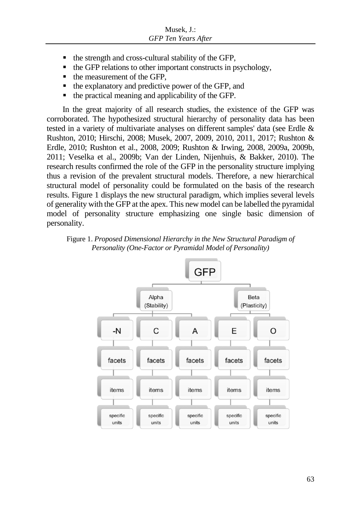- $\blacksquare$  the strength and cross-cultural stability of the GFP,
- the GFP relations to other important constructs in psychology,
- the measurement of the GFP,
- the explanatory and predictive power of the GFP, and
- the practical meaning and applicability of the GFP.

In the great majority of all research studies, the existence of the GFP was corroborated. The hypothesized structural hierarchy of personality data has been tested in a variety of multivariate analyses on different samples' data (see Erdle & Rushton, 2010; Hirschi, 2008; Musek, 2007, 2009, 2010, 2011, 2017; Rushton & Erdle, 2010; Rushton et al., 2008, 2009; Rushton & Irwing, 2008, 2009a, 2009b, 2011; Veselka et al., 2009b; Van der Linden, Nijenhuis, & Bakker, 2010). The research results confirmed the role of the GFP in the personality structure implying thus a revision of the prevalent structural models. Therefore, a new hierarchical structural model of personality could be formulated on the basis of the research results. Figure 1 displays the new structural paradigm, which implies several levels of generality with the GFP at the apex. This new model can be labelled the pyramidal model of personality structure emphasizing one single basic dimension of personality.



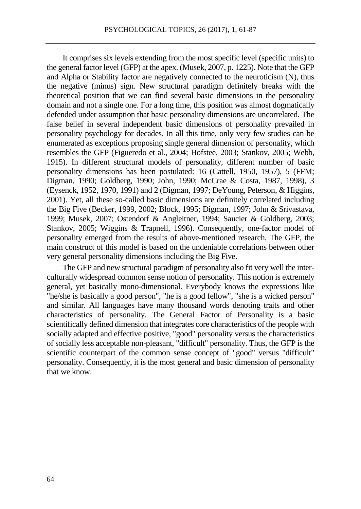It comprises six levels extending from the most specific level (specific units) to the general factor level (GFP) at the apex. (Musek, 2007, p. 1225). Note that the GFP and Alpha or Stability factor are negatively connected to the neuroticism (N), thus the negative (minus) sign. New structural paradigm definitely breaks with the theoretical position that we can find several basic dimensions in the personality domain and not a single one. For a long time, this position was almost dogmatically defended under assumption that basic personality dimensions are uncorrelated. The false belief in several independent basic dimensions of personality prevailed in personality psychology for decades. In all this time, only very few studies can be enumerated as exceptions proposing single general dimension of personality, which resembles the GFP (Figueredo et al., 2004; Hofstee, 2003; Stankov, 2005; Webb, 1915). In different structural models of personality, different number of basic personality dimensions has been postulated: 16 (Cattell, 1950, 1957), 5 (FFM; Digman, 1990; Goldberg, 1990; John, 1990; McCrae & Costa, 1987, 1998), 3 (Eysenck, 1952, 1970, 1991) and 2 (Digman, 1997; DeYoung, Peterson, & Higgins, 2001). Yet, all these so-called basic dimensions are definitely correlated including the Big Five (Becker, 1999, 2002; Block, 1995; Digman, 1997; John & Srivastava, 1999; Musek, 2007; Ostendorf & Angleitner, 1994; Saucier & Goldberg, 2003; Stankov, 2005; Wiggins & Trapnell, 1996). Consequently, one-factor model of personality emerged from the results of above-mentioned research. The GFP, the main construct of this model is based on the undeniable correlations between other very general personality dimensions including the Big Five.

The GFP and new structural paradigm of personality also fit very well the interculturally widespread common sense notion of personality. This notion is extremely general, yet basically mono-dimensional. Everybody knows the expressions like "he/she is basically a good person", "he is a good fellow", "she is a wicked person" and similar. All languages have many thousand words denoting traits and other characteristics of personality. The General Factor of Personality is a basic scientifically defined dimension that integrates core characteristics of the people with socially adapted and effective positive, "good" personality versus the characteristics of socially less acceptable non-pleasant, "difficult" personality. Thus, the GFP is the scientific counterpart of the common sense concept of "good" versus "difficult" personality. Consequently, it is the most general and basic dimension of personality that we know.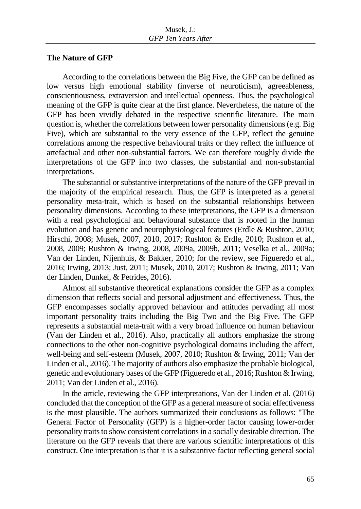### **The Nature of GFP**

According to the correlations between the Big Five, the GFP can be defined as low versus high emotional stability (inverse of neuroticism), agreeableness, conscientiousness, extraversion and intellectual openness. Thus, the psychological meaning of the GFP is quite clear at the first glance. Nevertheless, the nature of the GFP has been vividly debated in the respective scientific literature. The main question is, whether the correlations between lower personality dimensions (e.g. Big Five), which are substantial to the very essence of the GFP, reflect the genuine correlations among the respective behavioural traits or they reflect the influence of artefactual and other non-substantial factors. We can therefore roughly divide the interpretations of the GFP into two classes, the substantial and non-substantial interpretations.

The substantial or substantive interpretations of the nature of the GFP prevail in the majority of the empirical research. Thus, the GFP is interpreted as a general personality meta-trait, which is based on the substantial relationships between personality dimensions. According to these interpretations, the GFP is a dimension with a real psychological and behavioural substance that is rooted in the human evolution and has genetic and neurophysiological features (Erdle & Rushton, 2010; Hirschi, 2008; Musek, 2007, 2010, 2017; Rushton & Erdle, 2010; Rushton et al., 2008, 2009; Rushton & Irwing, 2008, 2009a, 2009b, 2011; Veselka et al., 2009a; Van der Linden, Nijenhuis, & Bakker, 2010; for the review, see Figueredo et al., 2016; Irwing, 2013; Just, 2011; Musek, 2010, 2017; Rushton & Irwing, 2011; Van der Linden, Dunkel, & Petrides, 2016).

Almost all substantive theoretical explanations consider the GFP as a complex dimension that reflects social and personal adjustment and effectiveness. Thus, the GFP encompasses socially approved behaviour and attitudes pervading all most important personality traits including the Big Two and the Big Five. The GFP represents a substantial meta-trait with a very broad influence on human behaviour (Van der Linden et al., 2016). Also, practically all authors emphasize the strong connections to the other non-cognitive psychological domains including the affect, well-being and self-esteem (Musek, 2007, 2010; Rushton & Irwing, 2011; Van der Linden et al., 2016). The majority of authors also emphasize the probable biological, genetic and evolutionary bases of the GFP (Figueredo et al., 2016; Rushton & Irwing, 2011; Van der Linden et al., 2016).

In the article, reviewing the GFP interpretations, Van der Linden et al. (2016) concluded that the conception of the GFP as a general measure of social effectiveness is the most plausible. The authors summarized their conclusions as follows: "The General Factor of Personality (GFP) is a higher-order factor causing lower-order personality traits to show consistent correlations in a socially desirable direction. The literature on the GFP reveals that there are various scientific interpretations of this construct. One interpretation is that it is a substantive factor reflecting general social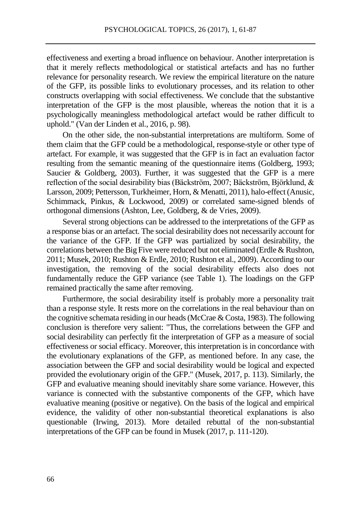effectiveness and exerting a broad influence on behaviour. Another interpretation is that it merely reflects methodological or statistical artefacts and has no further relevance for personality research. We review the empirical literature on the nature of the GFP, its possible links to evolutionary processes, and its relation to other constructs overlapping with social effectiveness. We conclude that the substantive interpretation of the GFP is the most plausible, whereas the notion that it is a psychologically meaningless methodological artefact would be rather difficult to uphold." (Van der Linden et al., 2016, p. 98).

On the other side, the non-substantial interpretations are multiform. Some of them claim that the GFP could be a methodological, response-style or other type of artefact. For example, it was suggested that the GFP is in fact an evaluation factor resulting from the semantic meaning of the questionnaire items (Goldberg, 1993; Saucier & Goldberg, 2003). Further, it was suggested that the GFP is a mere reflection of the social desirability bias (Bäckström, 2007; Bäckström, Björklund, & Larsson, 2009; Pettersson, Turkheimer, Horn, & Menatti, 2011), halo-effect (Anusic, Schimmack, Pinkus, & Lockwood, 2009) or correlated same-signed blends of orthogonal dimensions (Ashton, Lee, Goldberg, & de Vries, 2009).

Several strong objections can be addressed to the interpretations of the GFP as a response bias or an artefact. The social desirability does not necessarily account for the variance of the GFP. If the GFP was partialized by social desirability, the correlations between the Big Five were reduced but not eliminated (Erdle & Rushton, 2011; Musek, 2010; Rushton & Erdle, 2010; Rushton et al., 2009). According to our investigation, the removing of the social desirability effects also does not fundamentally reduce the GFP variance (see Table 1). The loadings on the GFP remained practically the same after removing.

Furthermore, the social desirability itself is probably more a personality trait than a response style. It rests more on the correlations in the real behaviour than on the cognitive schemata residing in our heads (McCrae & Costa, 1983). The following conclusion is therefore very salient: "Thus, the correlations between the GFP and social desirability can perfectly fit the interpretation of GFP as a measure of social effectiveness or social efficacy. Moreover, this interpretation is in concordance with the evolutionary explanations of the GFP, as mentioned before. In any case, the association between the GFP and social desirability would be logical and expected provided the evolutionary origin of the GFP." (Musek, 2017, p. 113). Similarly, the GFP and evaluative meaning should inevitably share some variance. However, this variance is connected with the substantive components of the GFP, which have evaluative meaning (positive or negative). On the basis of the logical and empirical evidence, the validity of other non-substantial theoretical explanations is also questionable (Irwing, 2013). More detailed rebuttal of the non-substantial interpretations of the GFP can be found in Musek (2017, p. 111-120).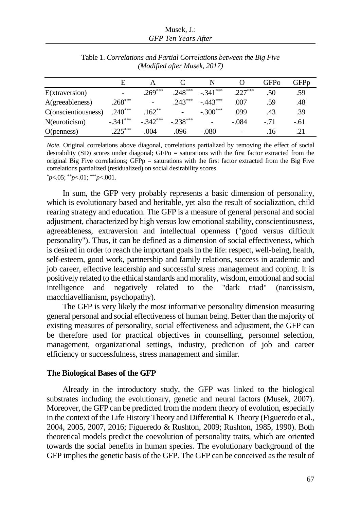### Musek, J.: *GFP Ten Years After*

|                     | E                        |                          |           | N          |           | <b>GFP<sub>0</sub></b> | GFPp   |
|---------------------|--------------------------|--------------------------|-----------|------------|-----------|------------------------|--------|
| E(xtraversion)      | $\overline{\phantom{0}}$ | $.269***$                | $.248***$ | $-341***$  | $.227***$ | .50                    | .59    |
| A(greeableness)     | $.268***$                | $\overline{\phantom{a}}$ | $.243***$ | $-.443***$ | .007      | .59                    | .48    |
| C(onscientiousness) | $.240***$                | $.162**$                 | ۰.        | $-.300***$ | .099      | .43                    | .39    |
| N(euroticism)       | $-.341***$               | $-.342***$               | $-238***$ | ۰          | $-.084$   | $-.71$                 | $-.61$ |
| O(pennes)           | $225***$                 | $-.004$                  | .096      | $-.080$    |           | .16                    |        |

Table 1. *Correlations and Partial Correlations between the Big Five (Modified after Musek, 2017)*

*Note*. Original correlations above diagonal, correlations partialized by removing the effect of social desirability (SD) scores under diagonal; GFPo = saturations with the first factor extracted from the original Big Five correlations;  $GFPp =$  saturations with the first factor extracted from the Big Five correlations partialized (residualized) on social desirability scores.

\**p*<.05; \*\**p*<.01; \*\*\**p*<.001.

In sum, the GFP very probably represents a basic dimension of personality, which is evolutionary based and heritable, yet also the result of socialization, child rearing strategy and education. The GFP is a measure of general personal and social adjustment, characterized by high versus low emotional stability, conscientiousness, agreeableness, extraversion and intellectual openness ("good versus difficult personality"). Thus, it can be defined as a dimension of social effectiveness, which is desired in order to reach the important goals in the life: respect, well-being, health, self-esteem, good work, partnership and family relations, success in academic and job career, effective leadership and successful stress management and coping. It is positively related to the ethical standards and morality, wisdom, emotional and social intelligence and negatively related to the "dark triad" (narcissism, macchiavellianism, psychopathy).

The GFP is very likely the most informative personality dimension measuring general personal and social effectiveness of human being. Better than the majority of existing measures of personality, social effectiveness and adjustment, the GFP can be therefore used for practical objectives in counselling, personnel selection, management, organizational settings, industry, prediction of job and career efficiency or successfulness, stress management and similar.

## **The Biological Bases of the GFP**

Already in the introductory study, the GFP was linked to the biological substrates including the evolutionary, genetic and neural factors (Musek, 2007). Moreover, the GFP can be predicted from the modern theory of evolution, especially in the context of the Life History Theory and Differential K Theory (Figueredo et al., 2004, 2005, 2007, 2016; Figueredo & Rushton, 2009; Rushton, 1985, 1990). Both theoretical models predict the coevolution of personality traits, which are oriented towards the social benefits in human species. The evolutionary background of the GFP implies the genetic basis of the GFP. The GFP can be conceived as the result of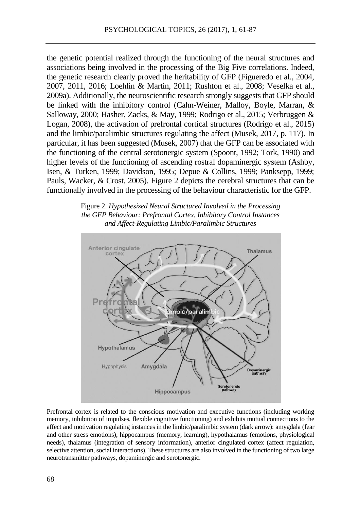the genetic potential realized through the functioning of the neural structures and associations being involved in the processing of the Big Five correlations. Indeed, the genetic research clearly proved the heritability of GFP (Figueredo et al., 2004, 2007, 2011, 2016; Loehlin & Martin, 2011; Rushton et al., 2008; Veselka et al., 2009a). Additionally, the neuroscientific research strongly suggests that GFP should be linked with the inhibitory control (Cahn-Weiner, Malloy, Boyle, Marran, & Salloway, 2000; Hasher, Zacks, & May, 1999; Rodrigo et al., 2015; Verbruggen & Logan, 2008), the activation of prefrontal cortical structures (Rodrigo et al., 2015) and the limbic/paralimbic structures regulating the affect (Musek, 2017, p. 117). In particular, it has been suggested (Musek, 2007) that the GFP can be associated with the functioning of the central serotonergic system (Spoont, 1992; Tork, 1990) and higher levels of the functioning of ascending rostral dopaminergic system (Ashby, Isen, & Turken, 1999; Davidson, 1995; Depue & Collins, 1999; Panksepp, 1999; Pauls, Wacker, & Crost, 2005). Figure 2 depicts the cerebral structures that can be functionally involved in the processing of the behaviour characteristic for the GFP.

Figure 2. *Hypothesized Neural Structured Involved in the Processing the GFP Behaviour: Prefrontal Cortex, Inhibitory Control Instances and Affect-Regulating Limbic/Paralimbic Structures*



Prefrontal cortex is related to the conscious motivation and executive functions (including working memory, inhibition of impulses, flexible cognitive functioning) and exhibits mutual connections to the affect and motivation regulating instances in the limbic/paralimbic system (dark arrow): amygdala (fear and other stress emotions), hippocampus (memory, learning), hypothalamus (emotions, physiological needs), thalamus (integration of sensory information), anterior cingulated cortex (affect regulation, selective attention, social interactions). These structures are also involved in the functioning of two large neurotransmitter pathways, dopaminergic and serotonergic.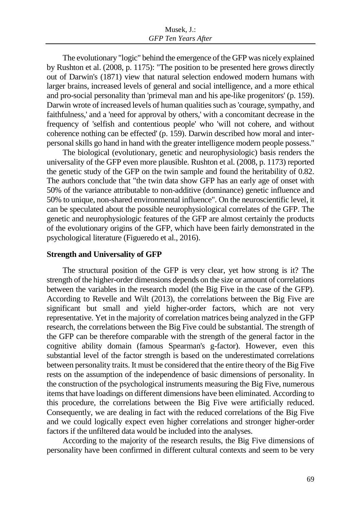The evolutionary "logic" behind the emergence of the GFP was nicely explained by Rushton et al. (2008, p. 1175): "The position to be presented here grows directly out of Darwin's (1871) view that natural selection endowed modern humans with larger brains, increased levels of general and social intelligence, and a more ethical and pro-social personality than 'primeval man and his ape-like progenitors' (p. 159). Darwin wrote of increased levels of human qualities such as 'courage, sympathy, and faithfulness,' and a 'need for approval by others,' with a concomitant decrease in the frequency of 'selfish and contentious people' who 'will not cohere, and without coherence nothing can be effected' (p. 159). Darwin described how moral and interpersonal skills go hand in hand with the greater intelligence modern people possess."

The biological (evolutionary, genetic and neurophysiologic) basis renders the universality of the GFP even more plausible. Rushton et al. (2008, p. 1173) reported the genetic study of the GFP on the twin sample and found the heritability of 0.82. The authors conclude that "the twin data show GFP has an early age of onset with 50% of the variance attributable to non-additive (dominance) genetic influence and 50% to unique, non-shared environmental influence". On the neuroscientific level, it can be speculated about the possible neurophysiological correlates of the GFP. The genetic and neurophysiologic features of the GFP are almost certainly the products of the evolutionary origins of the GFP, which have been fairly demonstrated in the psychological literature (Figueredo et al., 2016).

#### **Strength and Universality of GFP**

The structural position of the GFP is very clear, yet how strong is it? The strength of the higher-order dimensions depends on the size or amount of correlations between the variables in the research model (the Big Five in the case of the GFP). According to Revelle and Wilt (2013), the correlations between the Big Five are significant but small and yield higher-order factors, which are not very representative. Yet in the majority of correlation matrices being analyzed in the GFP research, the correlations between the Big Five could be substantial. The strength of the GFP can be therefore comparable with the strength of the general factor in the cognitive ability domain (famous Spearman's g-factor). However, even this substantial level of the factor strength is based on the underestimated correlations between personality traits. It must be considered that the entire theory of the Big Five rests on the assumption of the independence of basic dimensions of personality. In the construction of the psychological instruments measuring the Big Five, numerous items that have loadings on different dimensions have been eliminated. According to this procedure, the correlations between the Big Five were artificially reduced. Consequently, we are dealing in fact with the reduced correlations of the Big Five and we could logically expect even higher correlations and stronger higher-order factors if the unfiltered data would be included into the analyses.

According to the majority of the research results, the Big Five dimensions of personality have been confirmed in different cultural contexts and seem to be very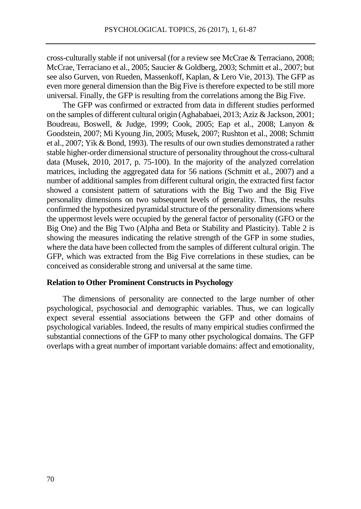cross-culturally stable if not universal (for a review see McCrae & Terraciano, 2008; McCrae, Terraciano et al., 2005; Saucier & Goldberg, 2003; Schmitt et al., 2007; but see also Gurven, von Rueden, Massenkoff, Kaplan, & Lero Vie, 2013). The GFP as even more general dimension than the Big Five is therefore expected to be still more universal. Finally, the GFP is resulting from the correlations among the Big Five.

The GFP was confirmed or extracted from data in different studies performed on the samples of different cultural origin (Aghababaei, 2013; Aziz & Jackson, 2001; Boudreau, Boswell, & Judge, 1999; Cook, 2005; Eap et al., 2008; Lanyon & Goodstein, 2007; Mi Kyoung Jin, 2005; Musek, 2007; Rushton et al., 2008; Schmitt et al., 2007; Yik & Bond, 1993). The results of our own studies demonstrated a rather stable higher-order dimensional structure of personality throughout the cross-cultural data (Musek, 2010, 2017, p. 75-100). In the majority of the analyzed correlation matrices, including the aggregated data for 56 nations (Schmitt et al., 2007) and a number of additional samples from different cultural origin, the extracted first factor showed a consistent pattern of saturations with the Big Two and the Big Five personality dimensions on two subsequent levels of generality. Thus, the results confirmed the hypothesized pyramidal structure of the personality dimensions where the uppermost levels were occupied by the general factor of personality (GFO or the Big One) and the Big Two (Alpha and Beta or Stability and Plasticity). Table 2 is showing the measures indicating the relative strength of the GFP in some studies, where the data have been collected from the samples of different cultural origin. The GFP, which was extracted from the Big Five correlations in these studies, can be conceived as considerable strong and universal at the same time.

## **Relation to Other Prominent Constructs in Psychology**

The dimensions of personality are connected to the large number of other psychological, psychosocial and demographic variables. Thus, we can logically expect several essential associations between the GFP and other domains of psychological variables. Indeed, the results of many empirical studies confirmed the substantial connections of the GFP to many other psychological domains. The GFP overlaps with a great number of important variable domains: affect and emotionality,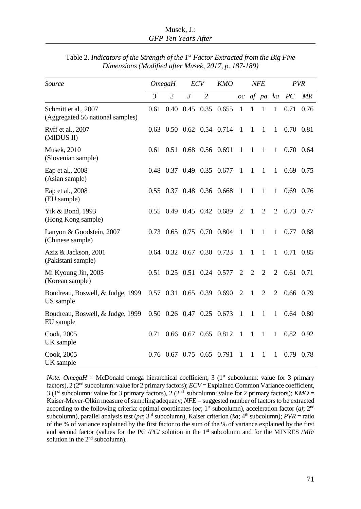Musek, J.: *GFP Ten Years After*

| Source                                                   |      | <b>OmegaH</b>  |   | ECV            | <b>KMO</b>                   |                |                | <b>NFE</b>     |                             |             | <b>PVR</b>        |
|----------------------------------------------------------|------|----------------|---|----------------|------------------------------|----------------|----------------|----------------|-----------------------------|-------------|-------------------|
|                                                          | 3    | $\overline{c}$ | 3 | $\overline{2}$ |                              | oc             |                | af pa          | ka                          | PC          | MR                |
| Schmitt et al., 2007<br>(Aggregated 56 national samples) | 0.61 |                |   |                | 0.40 0.45 0.35 0.655         | $\mathbf{1}$   | 1              | 1              | 1                           | 0.71        | 0.76              |
| Ryff et al., 2007<br>(MIDUS II)                          |      |                |   |                | 0.63 0.50 0.62 0.54 0.714    | $\overline{1}$ | 1              | 1              | 1                           |             | 0.70 0.81         |
| <b>Musek</b> , 2010<br>(Slovenian sample)                |      |                |   |                | 0.61 0.51 0.68 0.56 0.691    | -1             | 1              | 1              | 1                           |             | $0.70 \quad 0.64$ |
| Eap et al., 2008<br>(Asian sample)                       |      |                |   |                | 0.48 0.37 0.49 0.35 0.677    | $\overline{1}$ | 1              | $\mathbf{1}$   | 1                           |             | $0.69$ 0.75       |
| Eap et al., 2008<br>(EU sample)                          |      |                |   |                | 0.55 0.37 0.48 0.36 0.668    | -1             | 1              | 1              | 1                           |             | $0.69$ 0.76       |
| Yik & Bond, 1993<br>(Hong Kong sample)                   |      |                |   |                | 0.55 0.49 0.45 0.42 0.689    | 2              | 1              | $\overline{2}$ | 2                           | 0.73 0.77   |                   |
| Lanyon & Goodstein, 2007<br>(Chinese sample)             |      |                |   |                | 0.73 0.65 0.75 0.70 0.804    | -1             | 1              | 1              | 1                           |             | 0.77 0.88         |
| Aziz & Jackson, 2001<br>(Pakistani sample)               |      |                |   |                | 0.64 0.32 0.67 0.30 0.723    | $\overline{1}$ | 1              | 1              | 1                           |             | 0.71 0.85         |
| Mi Kyoung Jin, 2005<br>(Korean sample)                   |      |                |   |                | 0.51 0.25 0.51 0.24 0.577    | 2              | $\overline{c}$ | $\overline{2}$ | 2                           | $0.61$ 0.71 |                   |
| Boudreau, Boswell, & Judge, 1999<br>US sample            |      |                |   |                | 0.57 0.31 0.65 0.39 0.690    | 2              | 1              | $\overline{2}$ | $\mathcal{D}_{\mathcal{L}}$ |             | 0.66 0.79         |
| Boudreau, Boswell, & Judge, 1999<br>EU sample            |      |                |   |                | 0.50 0.26 0.47 0.25 0.673    | -1             | 1              | 1              | $\mathbf{1}$                |             | $0.64$ 0.80       |
| Cook, 2005<br>UK sample                                  | 0.71 |                |   |                | $0.66$ $0.67$ $0.65$ $0.812$ | $\overline{1}$ | 1              | 1              | 1                           |             | 0.82 0.92         |
| Cook, 2005<br>UK sample                                  | 0.76 |                |   |                | $0.67$ $0.75$ $0.65$ $0.791$ | 1              | 1              | 1              | 1                           | 0.79        | 0.78              |

Table 2. *Indicators of the Strength of the 1st Factor Extracted from the Big Five Dimensions (Modified after Musek, 2017, p. 187-189)*

*Note. OmegaH* = McDonald omega hierarchical coefficient, 3 ( $1$ <sup>st</sup> subcolumn: value for 3 primary factors), 2 (2nd subcolumn: value for 2 primary factors); *ECV* = Explained Common Variance coefficient, 3 (1<sup>st</sup> subcolumn: value for 3 primary factors), 2 (2<sup>nd</sup> subcolumn: value for 2 primary factors); *KMO* = Kaiser-Meyer-Olkin measure of sampling adequacy; *NFE* = suggested number of factors to be extracted according to the following criteria: optimal coordinates ( $oc$ ; 1<sup>st</sup> subcolumn), acceleration factor ( $af$ ; 2<sup>nd</sup>) subcolumn), parallel analysis test (*pa*; 3rd subcolumn), Kaiser criterion (*ka*; 4th subcolumn); *PVR* = ratio of the % of variance explained by the first factor to the sum of the % of variance explained by the first and second factor (values for the PC /*PC*/ solution in the 1<sup>st</sup> subcolumn and for the MINRES /*MR*/ solution in the 2<sup>nd</sup> subcolumn).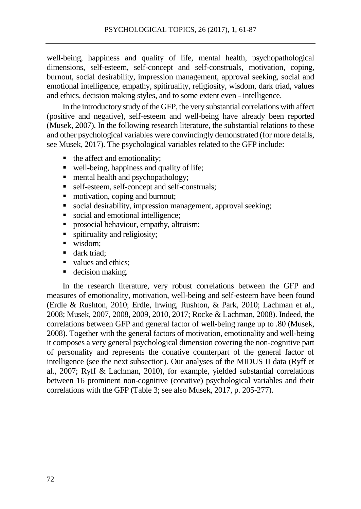well-being, happiness and quality of life, mental health, psychopathological dimensions, self-esteem, self-concept and self-construals, motivation, coping, burnout, social desirability, impression management, approval seeking, social and emotional intelligence, empathy, spitiruality, religiosity, wisdom, dark triad, values and ethics, decision making styles, and to some extent even - intelligence.

In the introductory study of the GFP, the very substantial correlations with affect (positive and negative), self-esteem and well-being have already been reported (Musek, 2007). In the following research literature, the substantial relations to these and other psychological variables were convincingly demonstrated (for more details, see Musek, 2017). The psychological variables related to the GFP include:

- the affect and emotionality;
- well-being, happiness and quality of life;
- mental health and psychopathology;
- self-esteem, self-concept and self-construals;
- motivation, coping and burnout;
- social desirability, impression management, approval seeking;
- social and emotional intelligence;
- **Peropensi** behaviour, empathy, altruism;
- **spitiruality and religiosity;**
- wisdom:
- dark triad;
- values and ethics:
- decision making.

In the research literature, very robust correlations between the GFP and measures of emotionality, motivation, well-being and self-esteem have been found (Erdle & Rushton, 2010; Erdle, Irwing, Rushton, & Park, 2010; Lachman et al., 2008; Musek, 2007, 2008, 2009, 2010, 2017; Rocke & Lachman, 2008). Indeed, the correlations between GFP and general factor of well-being range up to .80 (Musek, 2008). Together with the general factors of motivation, emotionality and well-being it composes a very general psychological dimension covering the non-cognitive part of personality and represents the conative counterpart of the general factor of intelligence (see the next subsection). Our analyses of the MIDUS II data (Ryff et al., 2007; Ryff & Lachman, 2010), for example, yielded substantial correlations between 16 prominent non-cognitive (conative) psychological variables and their correlations with the GFP (Table 3; see also Musek, 2017, p. 205-277).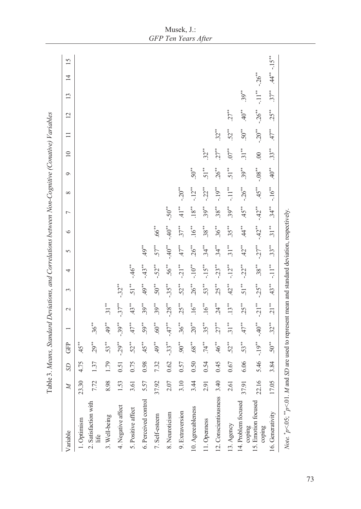| Variable                                         | Z     | <b>SD</b> | GFP       |           | $\mathcal{L}$ | 3         | 4                   | 5         | $\circ$            | Γ                  | ${}^{\circ}$        | $\circ$                 | $\supseteq$ | $\equiv$ | $\overline{c}$ | 13      | $\overline{4}$ | $\overline{15}$ |
|--------------------------------------------------|-------|-----------|-----------|-----------|---------------|-----------|---------------------|-----------|--------------------|--------------------|---------------------|-------------------------|-------------|----------|----------------|---------|----------------|-----------------|
| 1. Optimism                                      | 23.30 | 4.75      | $45**$    |           |               |           |                     |           |                    |                    |                     |                         |             |          |                |         |                |                 |
| 2. Satisfaction with<br>life                     | 7.72  | 1.37      | $29***$   | $.36***$  |               |           |                     |           |                    |                    |                     |                         |             |          |                |         |                |                 |
| 3. Well-being                                    | 8.98  | 1.79      | 53**      | $49^{**}$ | $31***$       |           |                     |           |                    |                    |                     |                         |             |          |                |         |                |                 |
| 4. Negative affect                               | 1.53  | 0.51      | $-0.29**$ | $-39**$   | $-37***$      | $-32**$   |                     |           |                    |                    |                     |                         |             |          |                |         |                |                 |
| 5. Positive affect                               | 3.61  | 0.75      | $52**$    | $47**$    | $43**$        | $.51***$  | $-46$ <sup>**</sup> |           |                    |                    |                     |                         |             |          |                |         |                |                 |
| 6. Perceived control                             | 5.57  | 0.98      | $45**$    | 59**      | $.39***$      | $49^{**}$ | $-43**$             | $49^{**}$ |                    |                    |                     |                         |             |          |                |         |                |                 |
| 7. Self-esteem                                   | 37.92 | 7.32      | $49**$    | $60^{**}$ | $39***$       | $50^{**}$ | $-52^{**}$          | $57**$    | $66^{**}$          |                    |                     |                         |             |          |                |         |                |                 |
| 8. Neuroticism                                   | 2.07  | 0.62      | $-33**$   | $-47**$   | $-28**$       | $-35**$   | $.56***$            | $-40**$   | $-40**$            | $-.50**$           |                     |                         |             |          |                |         |                |                 |
| 9. Extraversion                                  | 3.10  | 0.57      | $90^{**}$ | $36***$   | $25**$        | 52**      | $-21$ <sup>**</sup> | $47**$    | $37***$            | $41**$             | $-20**$             |                         |             |          |                |         |                |                 |
| 10. Agreeableness                                | 3.44  | 0.50      | $.68**$   | $20^{**}$ | $16**$        | $26**$    | $-10^{**}$          | $.26**$   | $16$ <sup>**</sup> | $18^{**}$          | $-12**$             | $.50**$                 |             |          |                |         |                |                 |
| 11. Openness                                     | 2.91  | 0.54      | $.74**$   | $35**$    | $16^{**}$     | $.53**$   | $-15**$             | $34**$    | $38***$            | $.39***$           | $-22**$             | $51**$                  | $32**$      |          |                |         |                |                 |
| 12. Conscientiousness                            | 3.40  | 0.45      | $46^{**}$ | $27**$    | 24            | $25**$    | $-23**$             | $34**$    | $36***$            | $.38***$           | $-19**$             | $26**$                  | $27**$      | $32**$   |                |         |                |                 |
| 13. Agency                                       | 2.61  | 0.67      | $52**$    | $31***$   | $13**$        | $42**$    | $-12**$             | $31***$   | $35***$            | $39***$            | $-11$ <sup>**</sup> | $51**$                  | $07**$      | 52**     | $27**$         |         |                |                 |
| 14. Problem focused $37.91$                      |       | 6.06      | 53**      | $.47**$   | $25**$        | $51**$    | $-22**$             | $42^{**}$ | $\ddot{4}$         | $45$ <sup>**</sup> | $-26$ <sup>**</sup> | $39***$                 | $.31***$    | $50**$   | $40^{**}$      | $39***$ |                |                 |
| coping<br>15. Emotion focused<br>22.16<br>coping |       | 5.46      | $-19**$   | $-40**$   | $-21**$       | $-25**$   | $.38***$            | $-27**$   | $-42**$            | $-42**$            | $45**$              | $\text{-}08^{\ast\ast}$ | $\odot$     | $-20**$  | $-26**$        | $-11**$ | $-26$ **       |                 |
| 16. Generativity                                 | 17.05 | 3.84      | $50**$    | $.32***$  | $21**$        | $43**$    | $-11$               | $33**$    | $.31***$           | $.34***$           | $-16**$             | $40^{**}$               | $33**$      | $.47**$  | $25**$         | $37**$  | $44*$          | $-15**$         |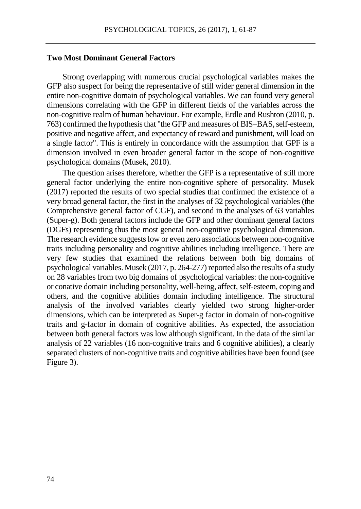### **Two Most Dominant General Factors**

Strong overlapping with numerous crucial psychological variables makes the GFP also suspect for being the representative of still wider general dimension in the entire non-cognitive domain of psychological variables. We can found very general dimensions correlating with the GFP in different fields of the variables across the non-cognitive realm of human behaviour. For example, Erdle and Rushton (2010, p. 763) confirmed the hypothesis that "the GFP and measures of BIS–BAS, self-esteem, positive and negative affect, and expectancy of reward and punishment, will load on a single factor". This is entirely in concordance with the assumption that GPF is a dimension involved in even broader general factor in the scope of non-cognitive psychological domains (Musek, 2010).

The question arises therefore, whether the GFP is a representative of still more general factor underlying the entire non-cognitive sphere of personality. Musek (2017) reported the results of two special studies that confirmed the existence of a very broad general factor, the first in the analyses of 32 psychological variables (the Comprehensive general factor of CGF), and second in the analyses of 63 variables (Super-g). Both general factors include the GFP and other dominant general factors (DGFs) representing thus the most general non-cognitive psychological dimension. The research evidence suggests low or even zero associations between non-cognitive traits including personality and cognitive abilities including intelligence. There are very few studies that examined the relations between both big domains of psychological variables. Musek (2017, p. 264-277) reported also the results of a study on 28 variables from two big domains of psychological variables: the non-cognitive or conative domain including personality, well-being, affect, self-esteem, coping and others, and the cognitive abilities domain including intelligence. The structural analysis of the involved variables clearly yielded two strong higher-order dimensions, which can be interpreted as Super-g factor in domain of non-cognitive traits and g-factor in domain of cognitive abilities. As expected, the association between both general factors was low although significant. In the data of the similar analysis of 22 variables (16 non-cognitive traits and 6 cognitive abilities), a clearly separated clusters of non-cognitive traits and cognitive abilities have been found (see Figure 3).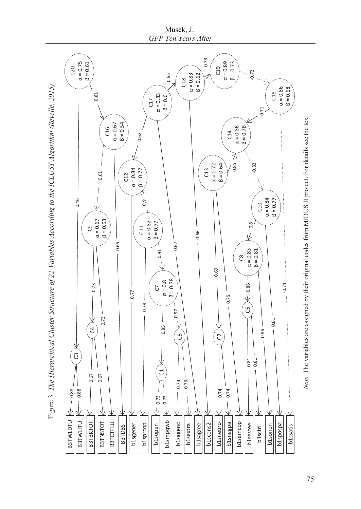

75

Musek, J.: *GFP Ten Years After*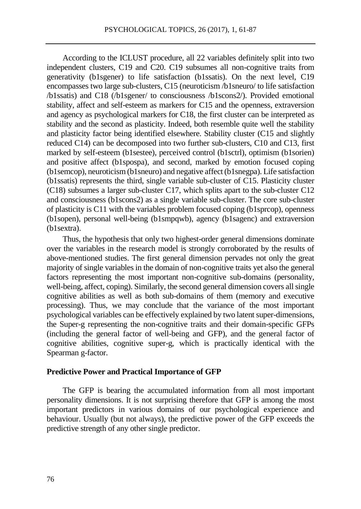According to the ICLUST procedure, all 22 variables definitely split into two independent clusters, C19 and C20. C19 subsumes all non-cognitive traits from generativity (b1sgener) to life satisfaction (b1ssatis). On the next level, C19 encompasses two large sub-clusters, C15 (neuroticism /b1sneuro/ to life satisfaction /b1ssatis) and C18 (/b1sgener/ to consciousness /b1scons2/). Provided emotional stability, affect and self-esteem as markers for C15 and the openness, extraversion and agency as psychological markers for C18, the first cluster can be interpreted as stability and the second as plasticity. Indeed, both resemble quite well the stability and plasticity factor being identified elsewhere. Stability cluster (C15 and slightly reduced C14) can be decomposed into two further sub-clusters, C10 and C13, first marked by self-esteem (b1sestee), perceived control (b1sctrl), optimism (b1sorien) and positive affect (b1spospa), and second, marked by emotion focused coping (b1semcop), neuroticism (b1sneuro) and negative affect (b1snegpa). Life satisfaction (b1ssatis) represents the third, single variable sub-cluster of C15. Plasticity cluster (C18) subsumes a larger sub-cluster C17, which splits apart to the sub-cluster C12 and consciousness (b1scons2) as a single variable sub-cluster. The core sub-cluster of plasticity is C11 with the variables problem focused coping (b1sprcop), openness (b1sopen), personal well-being (b1smpqwb), agency (b1sagenc) and extraversion (b1sextra).

Thus, the hypothesis that only two highest-order general dimensions dominate over the variables in the research model is strongly corroborated by the results of above-mentioned studies. The first general dimension pervades not only the great majority of single variables in the domain of non-cognitive traits yet also the general factors representing the most important non-cognitive sub-domains (personality, well-being, affect, coping). Similarly, the second general dimension covers all single cognitive abilities as well as both sub-domains of them (memory and executive processing). Thus, we may conclude that the variance of the most important psychological variables can be effectively explained by two latent super-dimensions, the Super-g representing the non-cognitive traits and their domain-specific GFPs (including the general factor of well-being and GFP), and the general factor of cognitive abilities, cognitive super-g, which is practically identical with the Spearman g-factor.

### **Predictive Power and Practical Importance of GFP**

The GFP is bearing the accumulated information from all most important personality dimensions. It is not surprising therefore that GFP is among the most important predictors in various domains of our psychological experience and behaviour. Usually (but not always), the predictive power of the GFP exceeds the predictive strength of any other single predictor.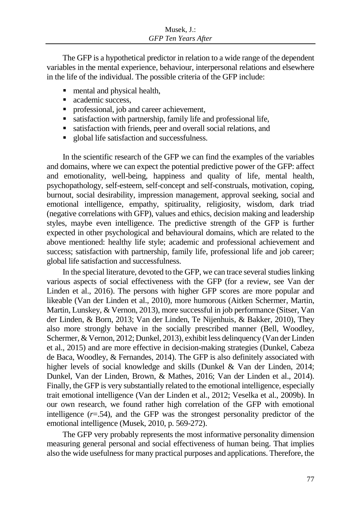The GFP is a hypothetical predictor in relation to a wide range of the dependent variables in the mental experience, behaviour, interpersonal relations and elsewhere in the life of the individual. The possible criteria of the GFP include:

- mental and physical health,
- academic success.
- **Peropensional, job and career achievement,**
- satisfaction with partnership, family life and professional life,
- satisfaction with friends, peer and overall social relations, and
- **global life satisfaction and successfulness.**

In the scientific research of the GFP we can find the examples of the variables and domains, where we can expect the potential predictive power of the GFP: affect and emotionality, well-being, happiness and quality of life, mental health, psychopathology, self-esteem, self-concept and self-construals, motivation, coping, burnout, social desirability, impression management, approval seeking, social and emotional intelligence, empathy, spitiruality, religiosity, wisdom, dark triad (negative correlations with GFP), values and ethics, decision making and leadership styles, maybe even intelligence. The predictive strength of the GFP is further expected in other psychological and behavioural domains, which are related to the above mentioned: healthy life style; academic and professional achievement and success; satisfaction with partnership, family life, professional life and job career; global life satisfaction and successfulness.

In the special literature, devoted to the GFP, we can trace several studies linking various aspects of social effectiveness with the GFP (for a review, see Van der Linden et al., 2016). The persons with higher GFP scores are more popular and likeable (Van der Linden et al., 2010), more humorous (Aitken Schermer, Martin, Martin, Lunskey, & Vernon, 2013), more successful in job performance (Sitser, Van der Linden, & Born, 2013; Van der Linden, Te Nijenhuis, & Bakker, 2010), They also more strongly behave in the socially prescribed manner (Bell, Woodley, Schermer, & Vernon, 2012; Dunkel, 2013), exhibit less delinquency (Van der Linden et al., 2015) and are more effective in decision-making strategies (Dunkel, Cabeza de Baca, Woodley, & Fernandes, 2014). The GFP is also definitely associated with higher levels of social knowledge and skills (Dunkel & Van der Linden, 2014; Dunkel, Van der Linden, Brown, & Mathes, 2016; Van der Linden et al., 2014). Finally, the GFP is very substantially related to the emotional intelligence, especially trait emotional intelligence (Van der Linden et al., 2012; Veselka et al., 2009b). In our own research, we found rather high correlation of the GFP with emotional intelligence  $(r=0.54)$ , and the GFP was the strongest personality predictor of the emotional intelligence (Musek, 2010, p. 569-272).

The GFP very probably represents the most informative personality dimension measuring general personal and social effectiveness of human being. That implies also the wide usefulness for many practical purposes and applications. Therefore, the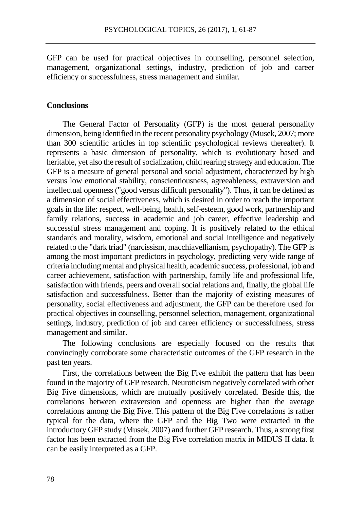GFP can be used for practical objectives in counselling, personnel selection, management, organizational settings, industry, prediction of job and career efficiency or successfulness, stress management and similar.

### **Conclusions**

The General Factor of Personality (GFP) is the most general personality dimension, being identified in the recent personality psychology (Musek, 2007; more than 300 scientific articles in top scientific psychological reviews thereafter). It represents a basic dimension of personality, which is evolutionary based and heritable, yet also the result of socialization, child rearing strategy and education. The GFP is a measure of general personal and social adjustment, characterized by high versus low emotional stability, conscientiousness, agreeableness, extraversion and intellectual openness ("good versus difficult personality"). Thus, it can be defined as a dimension of social effectiveness, which is desired in order to reach the important goals in the life: respect, well-being, health, self-esteem, good work, partnership and family relations, success in academic and job career, effective leadership and successful stress management and coping. It is positively related to the ethical standards and morality, wisdom, emotional and social intelligence and negatively related to the "dark triad" (narcissism, macchiavellianism, psychopathy). The GFP is among the most important predictors in psychology, predicting very wide range of criteria including mental and physical health, academic success, professional, job and career achievement, satisfaction with partnership, family life and professional life, satisfaction with friends, peers and overall social relations and, finally, the global life satisfaction and successfulness. Better than the majority of existing measures of personality, social effectiveness and adjustment, the GFP can be therefore used for practical objectives in counselling, personnel selection, management, organizational settings, industry, prediction of job and career efficiency or successfulness, stress management and similar.

The following conclusions are especially focused on the results that convincingly corroborate some characteristic outcomes of the GFP research in the past ten years.

First, the correlations between the Big Five exhibit the pattern that has been found in the majority of GFP research. Neuroticism negatively correlated with other Big Five dimensions, which are mutually positively correlated. Beside this, the correlations between extraversion and openness are higher than the average correlations among the Big Five. This pattern of the Big Five correlations is rather typical for the data, where the GFP and the Big Two were extracted in the introductory GFP study (Musek, 2007) and further GFP research. Thus, a strong first factor has been extracted from the Big Five correlation matrix in MIDUS II data. It can be easily interpreted as a GFP.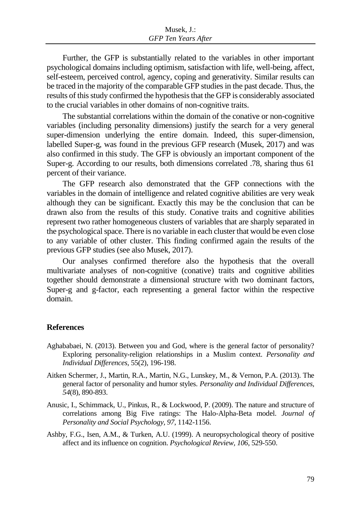Further, the GFP is substantially related to the variables in other important psychological domains including optimism, satisfaction with life, well-being, affect, self-esteem, perceived control, agency, coping and generativity. Similar results can be traced in the majority of the comparable GFP studies in the past decade. Thus, the results of this study confirmed the hypothesis that the GFP is considerably associated to the crucial variables in other domains of non-cognitive traits.

The substantial correlations within the domain of the conative or non-cognitive variables (including personality dimensions) justify the search for a very general super-dimension underlying the entire domain. Indeed, this super-dimension, labelled Super-g, was found in the previous GFP research (Musek, 2017) and was also confirmed in this study. The GFP is obviously an important component of the Super-g. According to our results, both dimensions correlated .78, sharing thus 61 percent of their variance.

The GFP research also demonstrated that the GFP connections with the variables in the domain of intelligence and related cognitive abilities are very weak although they can be significant. Exactly this may be the conclusion that can be drawn also from the results of this study. Conative traits and cognitive abilities represent two rather homogeneous clusters of variables that are sharply separated in the psychological space. There is no variable in each cluster that would be even close to any variable of other cluster. This finding confirmed again the results of the previous GFP studies (see also Musek, 2017).

Our analyses confirmed therefore also the hypothesis that the overall multivariate analyses of non-cognitive (conative) traits and cognitive abilities together should demonstrate a dimensional structure with two dominant factors, Super-g and g-factor, each representing a general factor within the respective domain.

### **References**

- Aghababaei, N. (2013). Between you and God, where is the general factor of personality? Exploring personality-religion relationships in a Muslim context. *Personality and Individual Differences,* 55(2), 196-198.
- Aitken Schermer, J., Martin, R.A., Martin, N.G., Lunskey, M., & Vernon, P.A. (2013). The general factor of personality and humor styles. *[Personality and Individual Differences,](http://www.sciencedirect.com/science/journal/01918869)  [54](http://www.sciencedirect.com/science/journal/01918869/54/8)*(8), 890-893.
- Anusic, I., Schimmack, U., Pinkus, R., & Lockwood, P. (2009). The nature and structure of correlations among Big Five ratings: The Halo-Alpha-Beta model. *Journal of Personality and Social Psychology, 97*, 1142-1156.
- Ashby, F.G., Isen, A.M., & Turken, A.U. (1999). A neuropsychological theory of positive affect and its influence on cognition. *Psychological Review, 106*, 529-550.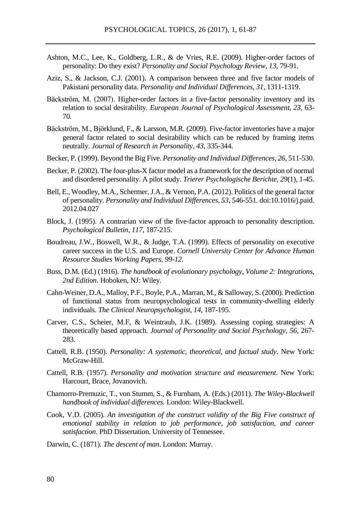- Ashton, M.C., Lee, K., Goldberg, L.R., & de Vries, R.E. (2009). Higher-order factors of personality: Do they exist? *Personality and Social Psychology Review, 13*, 79-91.
- Aziz, S., & Jackson, C.J. (2001). A comparison between three and five factor models of Pakistani personality data. *Personality and Individual Differences, 31,* 1311-1319.
- Bäckström, M. (2007). Higher-order factors in a five-factor personality inventory and its relation to social desirability. *European Journal of Psychological Assessment, 23*, 63- 70.
- Bäckström, M., Björklund, F., & Larsson, M.R. (2009). Five-factor inventories have a major general factor related to social desirability which can be reduced by framing items neutrally. *Journal of Research in Personality, 43*, 335-344.
- Becker, P. (1999). Beyond the Big Five. *Personality and Individual Differences, 26*, 511-530.
- Becker, P. (2002). The four-plus-X factor model as a framework for the description of normal and disordered personality. A pilot study. *Trierer Psychologische Berichte, 29*(1)*,* 1-45.
- Bell, E., Woodley, M.A., Schermer, J.A., & Vernon, P.A. (2012). Politics of the general factor of personality. *Personality and Individual Differences, 53*, 546-551[. doi:10.1016/j.paid.](doi:10.1016/j.paid.2012.04.027) [2012.04.027](doi:10.1016/j.paid.2012.04.027)
- Block, J. (1995). A contrarian view of the five-factor approach to personality description. *Psychological Bulletin, 117*, 187-215.
- Boudreau, J.W., Boswell, W.R., & Judge, T.A. (1999). Effects of personality on executive career success in the U.S. and Europe. *Cornell University Center for Advance Human Resource Studies Working Papers, 99-12.*
- Buss, D.M. (Ed.) (1916). *The handbook of evolutionary psychology*, *Volume 2: Integrations, 2nd Edition*. Hoboken, NJ: Wiley.
- Cahn-Weiner, D.A., Malloy, P.F., Boyle, P.A., Marran, M., & Salloway, S. (2000). Prediction of functional status from neuropsychological tests in community-dwelling elderly individuals. *The Clinical Neuropsychologist, 14*, 187-195.
- Carver, C.S., Scheier, M.F, & Weintraub, J.K. (1989). Assessing coping strategies: A theoretically based approach. *Journal of Personality and Social Psychology, 56*, 267- 283.
- Cattell, R.B. (1950). *Personality: A systematic, theoretical, and factual study*. New York: McGraw-Hill.
- Cattell, R.B. (1957). *Personality and motivation structure and measurement*. New York: Harcourt, Brace, Jovanovich.
- Chamorro-Premuzic, T., von Stumm, S., & Furnham, A. (Eds.) (2011). *The Wiley-Blackwell handbook of individual differences.* London: Wiley-Blackwell.
- Cook, V.D. (2005). *An investigation of the construct validity of the Big Five construct of emotional stability in relation to job performance, job satisfaction, and career satisfaction*. PhD Dissertation. University of Tennessee.
- Darwin, C. (1871). *The descent of man*. London: Murray.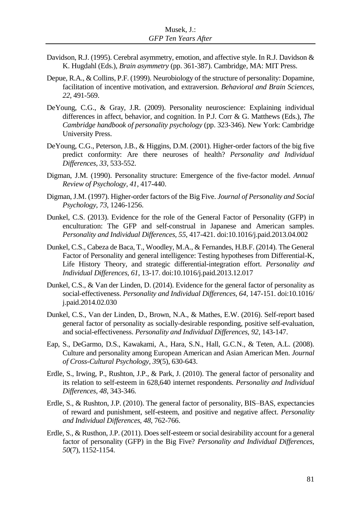- Davidson, R.J. (1995). Cerebral asymmetry, emotion, and affective style. In R.J. Davidson & K. Hugdahl (Eds.), *Brain asymmetry* (pp. 361-387). Cambridge, MA: MIT Press.
- Depue, R.A., & Collins, P.F. (1999). Neurobiology of the structure of personality: Dopamine, facilitation of incentive motivation, and extraversion. *Behavioral and Brain Sciences, 22*, 491-569.
- DeYoung, C.G., & Gray, J.R. (2009). Personality neuroscience: Explaining individual differences in affect, behavior, and cognition. In P.J. Corr & G. Matthews (Eds.), *The Cambridge handbook of personality psychology* (pp. 323-346). New York: Cambridge University Press.
- DeYoung, C.G., Peterson, J.B., & Higgins, D.M. (2001). Higher-order factors of the big five predict conformity: Are there neuroses of health? *Personality and Individual Differences, 33,* 533-552.
- Digman, J.M. (1990). Personality structure: Emergence of the five-factor model. *Annual Review of Psychology, 41*, 417-440.
- Digman, J.M. (1997). Higher-order factors of the Big Five. *Journal of Personality and Social Psychology, 73*, 1246-1256.
- Dunkel, C.S. (2013). Evidence for the role of the General Factor of Personality (GFP) in enculturation: The GFP and self-construal in Japanese and American samples. *Personality and Individual Differences, 55*, 417-421.<doi:10.1016/j.paid.2013.04.002>
- Dunkel, C.S., Cabeza de Baca, T., Woodley, M.A., & Fernandes, H.B.F. (2014). The General Factor of Personality and general intelligence: Testing hypotheses from Differential-K, Life History Theory, and strategic differential-integration effort. *Personality and Individual Differences, 61*, 13-17[. doi:10.1016/j.paid.2013.12.017](doi:10.1016/j.paid.2013.12.017)
- Dunkel, C.S., & Van der Linden, D. (2014). Evidence for the general factor of personality as social-effectiveness. *Personality and Individual Differences, 64*, 147-151[. doi:10.1016/](doi:10.1016/j.paid.2014.02.030) [j.paid.2014.02.030](doi:10.1016/j.paid.2014.02.030)
- Dunkel, C.S., Van der Linden, D., Brown, N.A., & Mathes, E.W. (2016). Self-report based general factor of personality as socially-desirable responding, positive self-evaluation, and social-effectiveness. *Personality and Individual Differences, 92*, 143-147.
- Eap, S., DeGarmo, D.S., Kawakami, A., Hara, S.N., Hall, G.C.N., & Teten, A.L. (2008). Culture and personality among European American and Asian American Men. *Journal of Cross-Cultural Psychology, 39*(5), 630-643.
- Erdle, S., Irwing, P., Rushton, J.P., & Park, J. (2010). The general factor of personality and its relation to self-esteem in 628,640 internet respondents. *Personality and Individual Differences, 48*, 343-346.
- Erdle, S., & Rushton, J.P. (2010). The general factor of personality, BIS–BAS, expectancies of reward and punishment, self-esteem, and positive and negative affect. *Personality and Individual Differences, 48*, 762-766.
- Erdle, S., & Rusthon, J.P. (2011). Does self-esteem or social desirability account for a general factor of personality (GFP) in the Big Five? *Personality and Individual Differences, 50*(7), 1152-1154.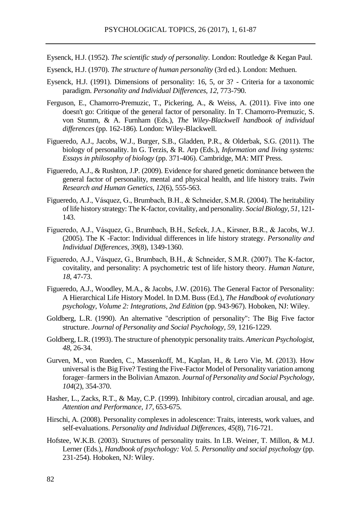Eysenck, H.J. (1952). *The scientific study of personality.* London: Routledge & Kegan Paul.

- Eysenck, H.J. (1970). *The structure of human personality* (3rd ed.). London: Methuen.
- Eysenck, H.J. (1991). Dimensions of personality: 16, 5, or 3? Criteria for a taxonomic paradigm. *Personality and Individual Differences, 12,* 773-790.
- Ferguson, E., Chamorro-Premuzic, T., Pickering, A., & Weiss, A. (2011). Five into one doesn't go: Critique of the general factor of personality. In T. Chamorro-Premuzic, S. von Stumm, & A. Furnham (Eds.), *The Wiley-Blackwell handbook of individual differences* (pp. 162-186)*.* London: Wiley-Blackwell.
- Figueredo, A.J., Jacobs, W.J., Burger, S.B., Gladden, P.R., & Olderbak, S.G. (2011). The biology of personality. In G. Terzis, & R. Arp (Eds.), *Information and living systems: Essays in philosophy of biology* (pp. 371-406). Cambridge, MA: MIT Press.
- Figueredo, A.J., & Rushton, J.P. (2009). Evidence for shared genetic dominance between the general factor of personality, mental and physical health, and life history traits. *Twin Research and Human Genetics, 12*(6), 555-563.
- Figueredo, A.J., Vásquez, G., Brumbach, B.H., & Schneider, S.M.R. (2004). The heritability of life history strategy: The K-factor, covitality, and personality. *Social Biology, 51*, 121- 143.
- Figueredo, A.J., Vásquez, G., Brumbach, B.H., Sefcek, J.A., Kirsner, B.R., & Jacobs, W.J. (2005). The K -Factor: Individual differences in life history strategy. *Personality and Individual Differences, 39*(8), 1349-1360.
- Figueredo, A.J., Vásquez, G., Brumbach, B.H., & Schneider, S.M.R. (2007). The K-factor, covitality, and personality: A psychometric test of life history theory. *Human Nature, 18*, 47-73.
- Figueredo, A.J., Woodley, M.A., & Jacobs, J.W. (2016). The General Factor of Personality: A Hierarchical Life History Model. In D.M. Buss (Ed.), *The Handbook of evolutionary psychology*, *Volume 2: Integrations, 2nd Edition* (pp. 943-967). Hoboken, NJ: Wiley.
- Goldberg, L.R. (1990). An alternative "description of personality": The Big Five factor structure. *Journal of Personality and Social Psychology, 59*, 1216-1229.
- Goldberg, L.R. (1993). The structure of phenotypic personality traits. *American Psychologist, 48*, 26-34.
- Gurven, M., von Rueden, C., Massenkoff, M., Kaplan, H., & Lero Vie, M. (2013). How universal is the Big Five? Testing the Five-Factor Model of Personality variation among forager–farmers in the Bolivian Amazon. *Journal of Personality and Social Psychology, 104*(2), 354-370.
- Hasher, L., Zacks, R.T., & May, C.P. (1999). Inhibitory control, circadian arousal, and age. *Attention and Performance, 17*, 653-675.
- Hirschi, A. (2008). Personality complexes in adolescence: Traits, interests, work values, and self-evaluations. *Personality and Individual Differences, 45*(8)*,* 716-721.
- Hofstee, W.K.B. (2003). Structures of personality traits. In I.B. Weiner, T. Millon, & M.J. Lerner (Eds.), *Handbook of psychology: Vol. 5. Personality and social psychology* (pp. 231-254). Hoboken, NJ: Wiley.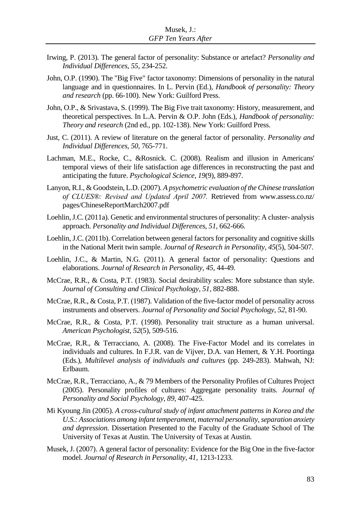- Irwing, P. (2013). The general factor of personality: Substance or artefact? *Personality and Individual Differences, 55*, 234-252.
- John, O.P. (1990). The "Big Five" factor taxonomy: Dimensions of personality in the natural language and in questionnaires. In L. Pervin (Ed.), *Handbook of personality: Theory and research* (pp. 66-100). New York: Guilford Press.
- John, O.P., & Srivastava, S. (1999). The Big Five trait taxonomy: History, measurement, and theoretical perspectives. In L.A. Pervin & O.P. John (Eds.), *Handbook of personality: Theory and research* (2nd ed., pp. 102-138). New York: Guilford Press.
- Just, C. (2011). A review of literature on the general factor of personality. *Personality and Individual Differences, 50*, 765-771.
- Lachman, M.E., Rocke, C., &Rosnick. C. (2008). Realism and illusion in Americans' temporal views of their life satisfaction age differences in reconstructing the past and anticipating the future. *Psychological Science, 19*(9)*,* 889-897.
- Lanyon, R.I., & Goodstein, L.D. (2007). *A psychometric evaluation of the Chinese translation of CLUES®: Revised and Updated April 2007.* Retrieved from www.assess.co.nz/ pages/ChineseReportMarch2007.pdf
- Loehlin, J.C. (2011a). Genetic and environmental structures of personality: A cluster- analysis approach. *Personality and Individual Differences*, *51*, 662-666.
- Loehlin, J.C. (2011b). Correlation between general factors for personality and cognitive skills in the National Merit twin sample. *Journal of Research in Personality*, *45*(5), 504-507.
- Loehlin, J.C., & Martin, N.G. (2011). A general factor of personality: Questions and elaborations. *Journal of Research in Personality, 45*, 44-49.
- McCrae, R.R., & Costa, P.T. (1983). Social desirability scales: More substance than style. *Journal of Consulting and Clinical Psychology, 51,* 882-888.
- McCrae, R.R., & Costa, P.T. (1987). Validation of the five-factor model of personality across instruments and observers. *Journal of Personality and Social Psychology, 52*, 81-90.
- McCrae, R.R., & Costa, P.T. (1998). Personality trait structure as a human universal. *American Psychologist, 52*(5), 509-516.
- McCrae, R.R., & Terracciano, A. (2008). The Five-Factor Model and its correlates in individuals and cultures. In F.J.R. van de Vijver, D.A. van Hemert, & Y.H. Poortinga (Eds.), *Multilevel analysis of individuals and cultures* (pp. 249-283). Mahwah, NJ: Erlbaum.
- McCrae, R.R., Terracciano, A., & 79 Members of the Personality Profiles of Cultures Project (2005). Personality profiles of cultures: Aggregate personality traits. *Journal of Personality and Social Psychology, 89*, 407-425.
- Mi Kyoung Jin (2005). *A cross-cultural study of infant attachment patterns in Korea and the U.S.: Associations among infant temperament, maternal personality, separation anxiety and depression*. Dissertation Presented to the Faculty of the Graduate School of The University of Texas at Austin. The University of Texas at Austin.
- Musek, J. (2007). A general factor of personality: Evidence for the Big One in the five-factor model. *Journal of Research in Personality, 41,* 1213-1233*.*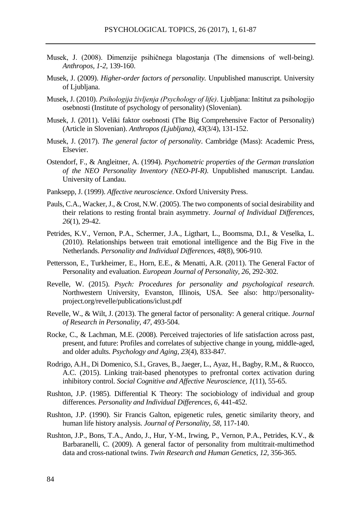- Musek, J. (2008). Dimenzije psihičnega blagostanja (The dimensions of well-being*). Anthropos, 1-2,* 139-160.
- Musek, J. (2009). *Higher-order factors of personality.* Unpublished manuscript. University of Liubliana.
- Musek, J. (2010). *Psihologija življenja (Psychology of life)*. Ljubljana: Inštitut za psihologijo osebnosti (Institute of psychology of personality) (Slovenian).
- Musek, J. (2011). Veliki faktor osebnosti (The Big Comprehensive Factor of Personality) (Article in Slovenian). *Anthropos (Ljubljana), 43*(3/4)*,* 131-152.
- Musek, J. (2017). *The general factor of personality*. Cambridge (Mass): Academic Press, Elsevier.
- Ostendorf, F., & Angleitner, A. (1994). *Psychometric properties of the German translation of the NEO Personality Inventory (NEO-PI-R)*. Unpublished manuscript. Landau. University of Landau.
- Panksepp, J. (1999). *Affective neuroscience*. Oxford University Press.
- Pauls, C.A., Wacker, J., & Crost, N.W. (2005). The two components of social desirability and their relations to resting frontal brain asymmetry. *Journal of Individual Differences, 26*(1), 29-42.
- Petrides, K.V., Vernon, P.A., Schermer, J.A., Ligthart, L., Boomsma, D.I., & Veselka, L. (2010). Relationships between trait emotional intelligence and the Big Five in the Netherlands. *Personality and Individual Differences, 48*(8), 906-910.
- Pettersson, E., Turkheimer, E., Horn, E.E., & Menatti, A.R. (2011). The General Factor of Personality and evaluation. *European Journal of Personality, 26*, 292-302.
- Revelle, W. (2015). *Psych: Procedures for personality and psychological research*. Northwestern University, Evanston, Illinois, USA. See also: [http://personality](http://personality-project.org/revelle/publications/iclust.pdf)[project.org/revelle/publications/iclust.pdf](http://personality-project.org/revelle/publications/iclust.pdf)
- Revelle, W., & Wilt, J. (2013). The general factor of personality: A general critique. *Journal of Research in Personality, 47*, 493-504.
- Rocke, C., & Lachman, M.E. (2008). Perceived trajectories of life satisfaction across past, present, and future: Profiles and correlates of subjective change in young, middle-aged, and older adults. *Psychology and Aging, 23*(4), 833-847.
- Rodrigo, A.H., Di Domenico, S.I., Graves, B., Jaeger, L., Ayaz, H., Bagby, R.M., & Ruocco, A.C. (2015). Linking trait-based phenotypes to prefrontal cortex activation during inhibitory control. *Social Cognitive and Affective Neuroscience, 1*(11), 55-65.
- Rushton, J.P. (1985). Differential K Theory: The sociobiology of individual and group differences. *Personality and Individual Differences, 6,* 441-452.
- Rushton, J.P. (1990). Sir Francis Galton, epigenetic rules, genetic similarity theory, and human life history analysis. *Journal of Personality, 58,* 117-140.
- Rushton, J.P., Bons, T.A., Ando, J., Hur, Y-M., Irwing, P., Vernon, P.A., Petrides, K.V., & Barbaranelli, C. (2009). A general factor of personality from multitrait-multimethod data and cross-national twins. *Twin Research and Human Genetics, 12*, 356-365.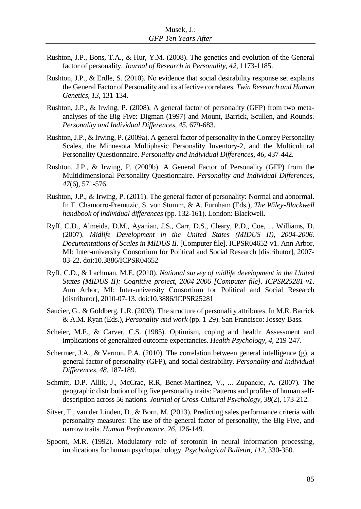- Rushton, J.P., Bons, T.A., & Hur, Y.M. (2008). The genetics and evolution of the General factor of personality. *Journal of Research in Personality*, *42*, 1173-1185.
- Rushton, J.P., & Erdle, S. (2010). No evidence that social desirability response set explains the General Factor of Personality and its affective correlates. *Twin Research and Human Genetics, 13*, 131-134.
- Rushton, J.P., & Irwing, P. (2008). A general factor of personality (GFP) from two metaanalyses of the Big Five: Digman (1997) and Mount, Barrick, Scullen, and Rounds. *Personality and Individual Differences*, *45*, 679-683.
- Rushton, J.P., & Irwing, P. (2009a). A general factor of personality in the Comrey Personality Scales, the Minnesota Multiphasic Personality Inventory-2, and the Multicultural Personality Questionnaire. *Personality and Individual Differences, 46,* 437-442.
- Rushton, J.P., & Irwing, P. (2009b). A General Factor of Personality (GFP) from the Multidimensional Personality Questionnaire. *Personality and Individual Differences, 47*(6)*,* 571-576.
- Rushton, J.P., & Irwing, P. (2011). The general factor of personality: Normal and abnormal. In T. Chamorro-Premuzic, S. von Stumm, & A. Furnham (Eds.), *The Wiley-Blackwell handbook of individual differences* (pp. 132-161). London: Blackwell.
- Ryff, C.D., Almeida, D.M., Ayanian, J.S., Carr, D.S., Cleary, P.D., Coe, ... Williams, D. (2007). *Midlife Development in the United States (MIDUS II), 2004-2006. Documentations of Scales in MIDUS II.* [Computer file]. ICPSR04652-v1. Ann Arbor, MI: Inter-university Consortium for Political and Social Research [distributor], 2007- 03-22. doi:10.3886/ICPSR04652
- Ryff, C.D., & Lachman, M.E. (2010). *National survey of midlife development in the United States (MIDUS II): Cognitive project, 2004-2006 [Computer file]. ICPSR25281-v1*. Ann Arbor, MI: Inter-university Consortium for Political and Social Research [distributor], 2010-07-13[. doi:10.3886/ICPSR25281](doi:10.3886/ICPSR25281)
- Saucier, G., & Goldberg, L.R. (2003). The structure of personality attributes. In M.R. Barrick & A.M. Ryan (Eds.), *Personality and work* (pp. 1-29). San Francisco: Jossey-Bass.
- Scheier, M.F., & Carver, C.S. (1985). Optimism, coping and health: Assessment and implications of generalized outcome expectancies. *Health Psychology, 4,* 219-247.
- Schermer, J.A., & Vernon, P.A. (2010). The correlation between general intelligence (g), a general factor of personality (GFP), and social desirability*. Personality and Individual Differences, 48*, 187-189.
- Schmitt, D.P. Allik, J., McCrae, R.R, Benet-Martínez, V., ... Zupancic, A. (2007). The geographic distribution of big five personality traits: Patterns and profiles of human selfdescription across 56 nations. *Journal of Cross-Cultural Psychology, 38*(2), 173-212.
- Sitser, T., van der Linden, D., & Born, M. (2013). Predicting sales performance criteria with personality measures: The use of the general factor of personality, the Big Five, and narrow traits. *Human Performance, 26*, 126-149.
- Spoont, M.R. (1992). Modulatory role of serotonin in neural information processing, implications for human psychopathology. *Psychological Bulletin, 112,* 330-350.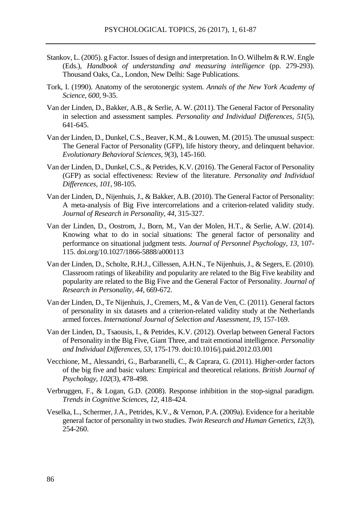- Stankov, L. (2005). g Factor. Issues of design and interpretation. In O. Wilhelm & R.W. Engle (Eds.), *Handbook of understanding and measuring intelligence* (pp. 279-293). Thousand Oaks, Ca., London, New Delhi: Sage Publications.
- Tork, I. (1990). Anatomy of the serotonergic system. *Annals of the New York Academy of Science, 600,* 9-35.
- Van der Linden, D., Bakker, A.B., & Serlie, A. W. (2011). The General Factor of Personality in selection and assessment samples. *Personality and Individual Differences, 51*(5), 641-645.
- Van der Linden, D., Dunkel, C.S., Beaver, K.M., & Louwen, M. (2015). The unusual suspect: The General Factor of Personality (GFP), life history theory, and delinquent behavior. *Evolutionary Behavioral Sciences, 9*(3), 145-160.
- Van der Linden, D., Dunkel, C.S., & Petrides, K.V. (2016). The General Factor of Personality (GFP) as social effectiveness: Review of the literature. *Personality and Individual Differences, 101*, 98-105.
- Van der Linden, D., Nijenhuis, J., & Bakker, A.B. (2010). The General Factor of Personality: A meta-analysis of Big Five intercorrelations and a criterion-related validity study. *Journal of Research in Personality, 44,* 315-327.
- Van der Linden, D., Oostrom, J., Born, M., Van der Molen, H.T., & Serlie, A.W. (2014). Knowing what to do in social situations: The general factor of personality and performance on situational judgment tests. *Journal of Personnel Psychology, 13*, 107- 115. doi.org/10.1027/1866-5888/a000113
- Van der Linden, D., Scholte, R.H.J., Cillessen, A.H.N., Te Nijenhuis, J., & Segers, E. (2010). Classroom ratings of likeability and popularity are related to the Big Five keability and popularity are related to the Big Five and the General Factor of Personality. *Journal of Research in Personality, 44*, 669-672.
- Van der Linden, D., Te Nijenhuis, J., Cremers, M., & Van de Ven, C. (2011). General factors of personality in six datasets and a criterion-related validity study at the Netherlands armed forces. *International Journal of Selection and Assessment, 19*, 157-169.
- Van der Linden, D., Tsaousis, I., & Petrides, K.V. (2012). Overlap between General Factors of Personality in the Big Five, Giant Three, and trait emotional intelligence. *Personality and Individual Differences, 53*, 175-179.<doi:10.1016/j.paid.2012.03.001>
- Vecchione, M., Alessandri, G., Barbaranelli, C., & Caprara, G. (2011). Higher-order factors of the big five and basic values: Empirical and theoretical relations. *British Journal of Psychology, 102*(3), 478-498.
- Verbruggen, F., & Logan, G.D. (2008). Response inhibition in the stop-signal paradigm. *Trends in Cognitive Sciences, 12*, 418-424.
- Veselka, L., Schermer, J.A., Petrides, K.V., & Vernon, P.A. (2009a). Evidence for a heritable general factor of personality in two studies. *Twin Research and Human Genetics, 12*(3), 254-260.